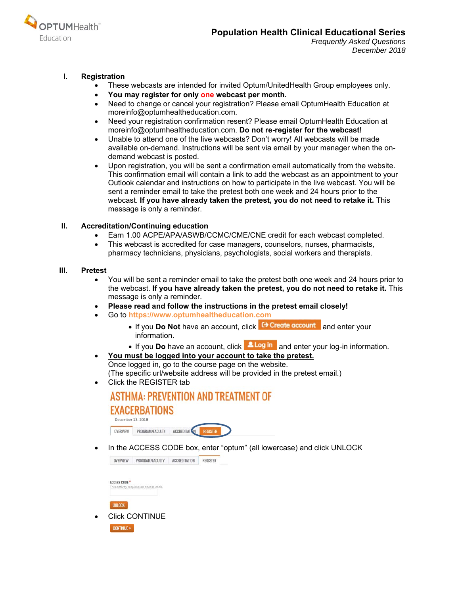

## **I. Registration**

- These webcasts are intended for invited Optum/UnitedHealth Group employees only.
- **You may register for only one webcast per month.**
- Need to change or cancel your registration? Please email OptumHealth Education at moreinfo@optumhealtheducation.com.
- Need your registration confirmation resent? Please email OptumHealth Education at moreinfo@optumhealtheducation.com. **Do not re-register for the webcast!**
- Unable to attend one of the live webcasts? Don't worry! All webcasts will be made available on-demand. Instructions will be sent via email by your manager when the ondemand webcast is posted.
- Upon registration, you will be sent a confirmation email automatically from the website. This confirmation email will contain a link to add the webcast as an appointment to your Outlook calendar and instructions on how to participate in the live webcast. You will be sent a reminder email to take the pretest both one week and 24 hours prior to the webcast. **If you have already taken the pretest, you do not need to retake it.** This message is only a reminder.

## **II. Accreditation/Continuing education**

- Earn 1.00 ACPE/APA/ASWB/CCMC/CME/CNE credit for each webcast completed.
- This webcast is accredited for case managers, counselors, nurses, pharmacists, pharmacy technicians, physicians, psychologists, social workers and therapists.

## **III. Pretest**

- You will be sent a reminder email to take the pretest both one week and 24 hours prior to the webcast. **If you have already taken the pretest, you do not need to retake it.** This message is only a reminder.
- **Please read and follow the instructions in the pretest email closely!**
- Go to **https://www.optumhealtheducation.com** 
	- If you **Do Not** have an account, click **C+ Create account** and enter your information.
	- If you **Do** have an account, click **ALog in** and enter your log-in information.
- **You must be logged into your account to take the pretest.**  Once logged in, go to the course page on the website. (The specific url/website address will be provided in the pretest email.)
- Click the REGISTER tab

#### ASTHMA: PREVENTION AND TREATMENT OF **EXACERBATIONS** December 13, 2018 PROGRAM/FACULTY ACCREDITATION OVERVIEW

• In the ACCESS CODE box, enter "optum" (all lowercase) and click UNLOCK

| OVERVIEW                 | PROGRAM/FACULTY                        | <b>ACCREDITATION</b> | <b>REGISTER</b> |
|--------------------------|----------------------------------------|----------------------|-----------------|
| ACCESS CODE <sup>+</sup> | This activity requires an access code. |                      |                 |
| <b>UNLOCK</b>            |                                        |                      |                 |
|                          | <b>Click CONTINUE</b>                  |                      |                 |
| <b>CONTINUE &gt;</b>     |                                        |                      |                 |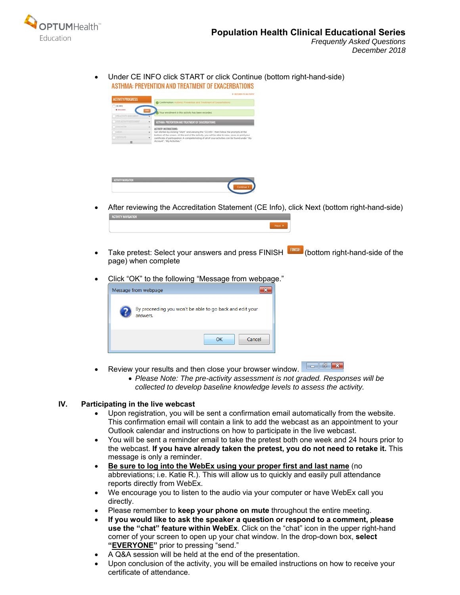

 Under CE INFO click START or click Continue (bottom right-hand-side) ASTHMA: PREVENTION AND TREATMENT OF EXACERBATIONS

| <b>ACTIVITY PROGRESS</b>           |                          | 4- SETURIN TO ACTIVITY                                                                                                                                                                               |  |  |  |
|------------------------------------|--------------------------|------------------------------------------------------------------------------------------------------------------------------------------------------------------------------------------------------|--|--|--|
|                                    |                          | Confirmation: Authenic Prevention and Treatment of Esociationis                                                                                                                                      |  |  |  |
| <b>GEBIED</b><br><b>O</b> ALCOHOL: |                          | Your enrollment in this activity has been recorded.                                                                                                                                                  |  |  |  |
| I was activity and continu-        |                          |                                                                                                                                                                                                      |  |  |  |
| THE REPORT OF A REAL PROPERTY      | ٠                        | ASTHMA PREVENTION AND TREATMENT OF EXACERBATIONS                                                                                                                                                     |  |  |  |
| 1 FERCHETER                        |                          | ACTIVITY INSTRUCTIONS:                                                                                                                                                                               |  |  |  |
| <b>VEREL</b>                       | $\overline{\phantom{a}}$ | Get started by clicking "Start" and viewing the "CE Info"; then follow the prompts at the                                                                                                            |  |  |  |
| <b>TELESTING</b>                   |                          | bottom of the screen. At the end of the activity, you will be able to view, save, or print your<br>certificate of participation. A complete listing of all of your activities can be found under "My |  |  |  |
| 亖                                  |                          | Account", "My Activities."                                                                                                                                                                           |  |  |  |



- After reviewing the Accreditation Statement (CE Info), click Next (bottom right-hand-side)
- Take pretest: Select your answers and press FINISH **[FINISH**] (bottom right-hand-side of the page) when complete
- Click "OK" to the following "Message from webpage."



- Review your results and then close your browser window.
	- *Please Note: The pre-activity assessment is not graded. Responses will be collected to develop baseline knowledge levels to assess the activity.*

#### **IV. Participating in the live webcast**

- Upon registration, you will be sent a confirmation email automatically from the website. This confirmation email will contain a link to add the webcast as an appointment to your Outlook calendar and instructions on how to participate in the live webcast.
- You will be sent a reminder email to take the pretest both one week and 24 hours prior to the webcast. **If you have already taken the pretest, you do not need to retake it.** This message is only a reminder.
- **Be sure to log into the WebEx using your proper first and last name** (no abbreviations; i.e. Katie R.). This will allow us to quickly and easily pull attendance reports directly from WebEx.
- We encourage you to listen to the audio via your computer or have WebEx call you directly.
- Please remember to **keep your phone on mute** throughout the entire meeting.
- **If you would like to ask the speaker a question or respond to a comment, please use the "chat" feature within WebEx**. Click on the "chat" icon in the upper right-hand corner of your screen to open up your chat window. In the drop-down box, **select "EVERYONE"** prior to pressing "send."
- A Q&A session will be held at the end of the presentation.
- Upon conclusion of the activity, you will be emailed instructions on how to receive your certificate of attendance.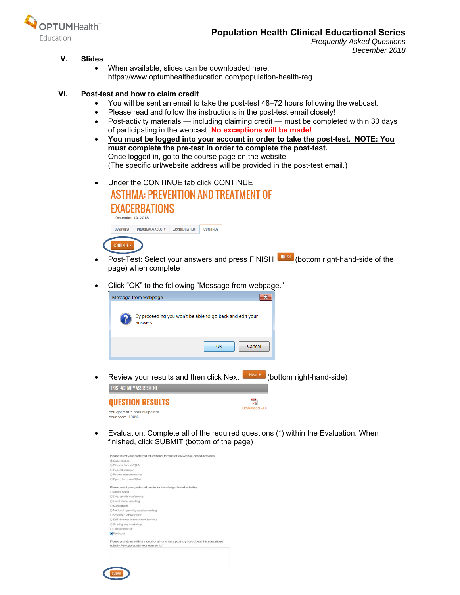

# **Population Health Clinical Educational Series**

*Frequently Asked Questions December 2018* 

## **V. Slides**

 When available, slides can be downloaded here: https://www.optumhealtheducation.com/population-health-reg

#### **VI. Post-test and how to claim credit**

- You will be sent an email to take the post-test 48–72 hours following the webcast.
- Please read and follow the instructions in the post-test email closely!
- Post-activity materials including claiming credit must be completed within 30 days of participating in the webcast. **No exceptions will be made!**
- **You must be logged into your account in order to take the post-test. NOTE: You must complete the pre-test in order to complete the post-test.**  Once logged in, go to the course page on the website. (The specific url/website address will be provided in the post-test email.)
- Under the CONTINUE tab click CONTINUE **ASTHMA: PREVENTION AND TREATMENT OF EVA OFBDATIONS**

| <b>EXALERBATIUNS</b> |                   |  |  |
|----------------------|-------------------|--|--|
|                      | December 10, 2018 |  |  |

**OUESTION RESULTS** 





- Post-Test: Select your answers and press FINISH **ENNISH** (bottom right-hand-side of the page) when complete
- Click "OK" to the following "Message from webpage."



• Review your results and then click Next  $\begin{bmatrix} \text{Next} & \text{[bottom right, handle]} \end{bmatrix}$ POST-ACTIVITY ASSESSMENT



 Evaluation: Complete all of the required questions (\*) within the Evaluation. When finished, click SUBMIT (bottom of the page)

밋

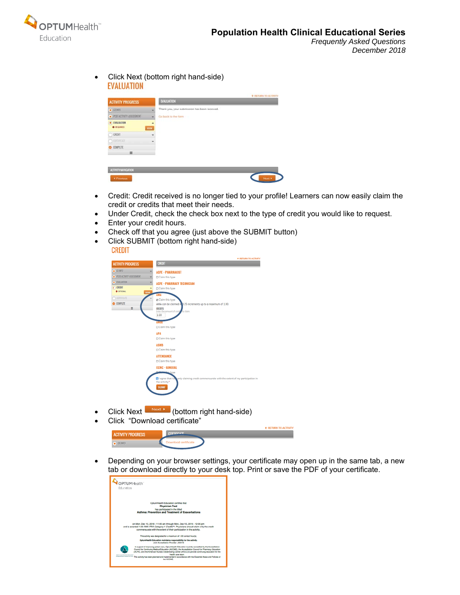

• Click Next (bottom right hand-side) **EVALUATION** 

| <b>ACTIVITY PROGRESS</b><br>$\bullet$ CEINFO<br>٠    | <b>EVALUATION</b><br>Thank you, your submission has been received. |
|------------------------------------------------------|--------------------------------------------------------------------|
|                                                      |                                                                    |
|                                                      |                                                                    |
| · POSTACTIVITY ASSESSMENT<br>٠                       | Go back to the form                                                |
| · EYALUATION<br>۰<br><b>O</b> REQUIRED<br><b>KID</b> |                                                                    |
| CREDIT<br>٠                                          |                                                                    |
| OCHIERATE<br>÷                                       |                                                                    |
| <b>COMPLETE</b>                                      |                                                                    |
| $\equiv$                                             |                                                                    |

- Credit: Credit received is no longer tied to your profile! Learners can now easily claim the credit or credits that meet their needs.
- Under Credit, check the check box next to the type of credit you would like to request.
- Enter your credit hours.
- Check off that you agree (just above the SUBMIT button)
- Click SUBMIT (bottom right hand-side)



- Click Next  $\begin{bmatrix} \text{Next} \\ \text{Note:} \end{bmatrix}$  (bottom right hand-side)
- Click "Download certificate"



 Depending on your browser settings, your certificate may open up in the same tab, a new tab or download directly to your desk top. Print or save the PDF of your certificate.

| OPTUMHealth" |                                                                                                                                                                                                                                                                                                                                                    |
|--------------|----------------------------------------------------------------------------------------------------------------------------------------------------------------------------------------------------------------------------------------------------------------------------------------------------------------------------------------------------|
| Education    |                                                                                                                                                                                                                                                                                                                                                    |
|              |                                                                                                                                                                                                                                                                                                                                                    |
|              | OptumHealth Education certifies that<br><b>Physician Test</b>                                                                                                                                                                                                                                                                                      |
|              | has participated in the titled<br><b>Asthma: Prevention and Treatment of Exacerbations</b>                                                                                                                                                                                                                                                         |
|              |                                                                                                                                                                                                                                                                                                                                                    |
|              | on Mon, Dec 10, 2018 - 11:00 am through Mon, Dec 10, 2018 - 12:00 pm<br>and is awarded 1.00 AMA PRA Category 1 Credits™. Physicians should claim only the credit                                                                                                                                                                                   |
|              | commensurate with the extent of their participation in the activity.                                                                                                                                                                                                                                                                               |
|              | This activity was designated for a maximum of 1.00 contact hour(s).                                                                                                                                                                                                                                                                                |
|              | OptumHealth Education maintains responsibility for the activity.<br>Joint Accesditation Provider: JA0016                                                                                                                                                                                                                                           |
|              | In support of improving patient care. OptumHealth Education is jointly accredited by the Accreditation<br>Council for Continuing Medical Education (ACCME), the Accreditation Council for Pharmacy Education<br>(ACPE), and the American Nurses Credentialing Center (ANOC) to provide continuing education for the<br><b>Publish Corp. Search</b> |
|              | This activity has been planned and implemented in accordance with the Essential Areas and Policies of                                                                                                                                                                                                                                              |